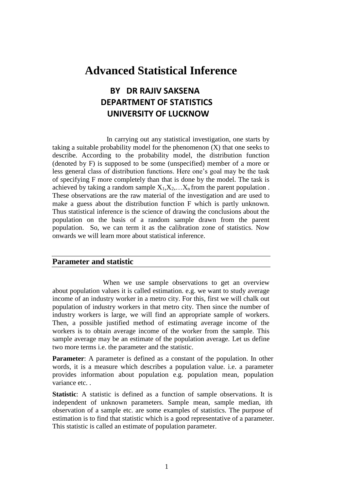## **Advanced Statistical Inference**

## **BY DR RAJIV SAKSENA DEPARTMENT OF STATISTICS UNIVERSITY OF LUCKNOW**

 In carrying out any statistical investigation, one starts by taking a suitable probability model for the phenomenon (X) that one seeks to describe. According to the probability model, the distribution function (denoted by F) is supposed to be some (unspecified) member of a more or less general class of distribution functions. Here one's goal may be the task of specifying F more completely than that is done by the model. The task is achieved by taking a random sample  $X_1, X_2, \ldots, X_n$  from the parent population. These observations are the raw material of the investigation and are used to make a guess about the distribution function F which is partly unknown. Thus statistical inference is the science of drawing the conclusions about the population on the basis of a random sample drawn from the parent population. So, we can term it as the calibration zone of statistics. Now onwards we will learn more about statistical inference.

### **Parameter and statistic**

When we use sample observations to get an overview about population values it is called estimation. e.g. we want to study average income of an industry worker in a metro city. For this, first we will chalk out population of industry workers in that metro city. Then since the number of industry workers is large, we will find an appropriate sample of workers. Then, a possible justified method of estimating average income of the workers is to obtain average income of the worker from the sample. This sample average may be an estimate of the population average. Let us define two more terms i.e. the parameter and the statistic.

**Parameter**: A parameter is defined as a constant of the population. In other words, it is a measure which describes a population value. i.e. a parameter provides information about population e.g. population mean, population variance etc. .

**Statistic**: A statistic is defined as a function of sample observations. It is independent of unknown parameters. Sample mean, sample median, ith observation of a sample etc. are some examples of statistics. The purpose of estimation is to find that statistic which is a good representative of a parameter. This statistic is called an estimate of population parameter.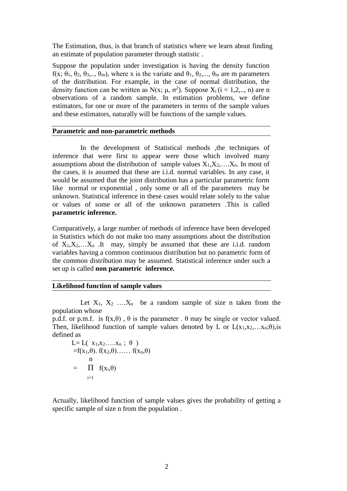The Estimation, thus, is that branch of statistics where we learn about finding an estimate of population parameter through statistic .

Suppose the population under investigation is having the density function f(x;  $\theta_1$ ,  $\theta_2$ ,  $\theta_3$ ,..,  $\theta_m$ ), where x is the variate and  $\theta_1$ ,  $\theta_2$ ,...,  $\theta_m$  are m parameters of the distribution. For example, in the case of normal distribution, the density function can be written as N(x;  $\mu$ ,  $\sigma^2$ ). Suppose X<sub>i</sub> (i = 1,2,.., n) are n observations of a random sample. In estimation problems, we define estimators, for one or more of the parameters in terms of the sample values and these estimators, naturally will be functions of the sample values.

### **Parametric and non-parametric methods**

 In the development of Statistical methods ,the techniques of inference that were first to appear were those which involved many assumptions about the distribution of sample values  $X_1, X_2, \ldots, X_n$ . In most of the cases, it is assumed that these are i.i.d. normal variables. In any case, it would be assumed that the joint distribution has a particular parametric form like normal or exponential , only some or all of the parameters may be unknown. Statistical inference in these cases would relate solely to the value or values of some or all of the unknown parameters .This is called **parametric inference.**

Comparatively, a large number of methods of inference have been developed in Statistics which do not make too many assumptions about the distribution of  $X_1, X_2, \ldots, X_n$  . It may, simply be assumed that these are i.i.d. random variables having a common continuous distribution but no parametric form of the common distribution may be assumed. Statistical inference under such a set up is called **non parametric inference.** 

## **Likelihood function of sample values**

Let  $X_1, X_2, \ldots, X_n$  be a random sample of size n taken from the population whose

p.d.f. or p.m.f. is  $f(x,\theta)$ ,  $\theta$  is the parameter .  $\theta$  may be single or vector valued. Then, likelihood function of sample values denoted by L or  $L(x_1,x_2,...x_n;\theta)$ , is defined as

L=L(
$$
x_1,x_2,...x_n
$$
 ;  $\theta$ )  
=f( $x_1,\theta$ ). f( $x_2,\theta$ )...... f( $x_n,\theta$ )  
 $\begin{array}{r}\nn \\
= \prod_{i=1}^n f(x_i,\theta)\n\end{array}$ 

Actually, likelihood function of sample values gives the probability of getting a specific sample of size n from the population .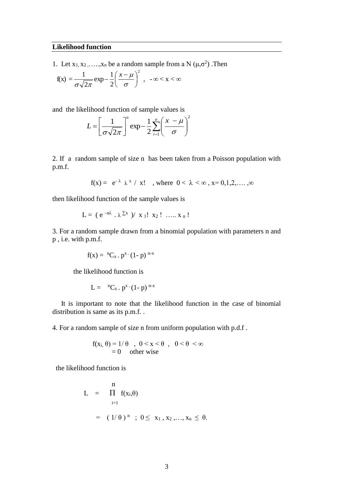#### **Likelihood function**

1. Let  $x_1, x_2, \ldots, x_n$  be a random sample from a N  $(\mu, \sigma^2)$ . Then

$$
f(x) = \frac{1}{\sigma\sqrt{2\pi}}\exp\left(-\frac{1}{2}\left(\frac{x-\mu}{\sigma}\right)^2\right), \quad -\infty < x < \infty
$$

and the likelihood function of sample values is

$$
L = \left[\frac{1}{\sigma\sqrt{2\pi}}\right]^n \exp{-\frac{1}{2}\sum_{i=1}^n \left(\frac{x-\mu}{\sigma}\right)^2}
$$

2. If a random sample of size n has been taken from a Poisson population with p.m.f.

$$
f(x) = e^{-\lambda} \lambda^x / x!
$$
, where  $0 < \lambda < \infty$ ,  $x = 0,1,2,...$ ,  $\infty$ 

then likelihood function of the sample values is

$$
L = (e^{-n\lambda} \cdot \lambda^{\sum x} ) / x_1! x_2! \dots x_n!
$$

3. For a random sample drawn from a binomial population with parameters n and p , i.e. with p.m.f.

$$
f(x) = {}^{n}C_{x} \cdot p^{x} \cdot (1-p) \, {}^{n-x}
$$

the likelihood function is

$$
L = {}^{n}C_x \cdot p^x \cdot (1-p) {}^{n-x}
$$

 It is important to note that the likelihood function in the case of binomial distribution is same as its p.m.f. .

4. For a random sample of size n from uniform population with p.d.f .

$$
f(x_i, \theta) = 1/\theta , 0 < x < \theta , 0 < \theta < \infty
$$
  
= 0 other wise

the likelihood function is

$$
L = \prod_{i=1}^{n} f(x_i, \theta)
$$
  
=  $(1/\theta)^n$ ;  $0 \le x_1, x_2, ..., x_n \le \theta$ .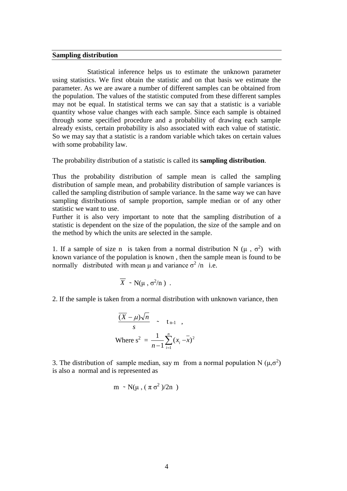#### **Sampling distribution**

 Statistical inference helps us to estimate the unknown parameter using statistics. We first obtain the statistic and on that basis we estimate the parameter. As we are aware a number of different samples can be obtained from the population. The values of the statistic computed from these different samples may not be equal. In statistical terms we can say that a statistic is a variable quantity whose value changes with each sample. Since each sample is obtained through some specified procedure and a probability of drawing each sample already exists, certain probability is also associated with each value of statistic. So we may say that a statistic is a random variable which takes on certain values with some probability law.

The probability distribution of a statistic is called its **sampling distribution**.

Thus the probability distribution of sample mean is called the sampling distribution of sample mean, and probability distribution of sample variances is called the sampling distribution of sample variance. In the same way we can have sampling distributions of sample proportion, sample median or of any other statistic we want to use.

Further it is also very important to note that the sampling distribution of a statistic is dependent on the size of the population, the size of the sample and on the method by which the units are selected in the sample.

1. If a sample of size n is taken from a normal distribution N ( $\mu$ ,  $\sigma^2$ ) with known variance of the population is known , then the sample mean is found to be normally distributed with mean  $\mu$  and variance  $\sigma^2/n$  i.e.

$$
\overline{X} \sim N(\mu, \sigma^2/n) .
$$

2. If the sample is taken from a normal distribution with unknown variance, then

$$
\frac{\overline{(X - \mu)\sqrt{n}}}{s} \sim t_{n-1},
$$
  
Where  $s^2 = \frac{1}{n-1} \sum_{i=1}^n (x_i - \overline{x})^2$ 

3. The distribution of sample median, say m from a normal population N ( $\mu$ , $\sigma^2$ ) is also a normal and is represented as

$$
m \sim N(\mu, (\pi \sigma^2)/2n)
$$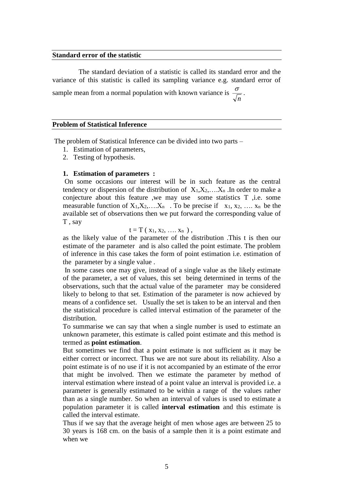### **Standard error of the statistic**

 The standard deviation of a statistic is called its standard error and the variance of this statistic is called its sampling variance e.g. standard error of sample mean from a normal population with known variance is *n*  $\frac{\sigma}{\digamma}$  .

#### **Problem of Statistical Inference**

The problem of Statistical Inference can be divided into two parts –

- 1. Estimation of parameters,
- 2. Testing of hypothesis.

#### **1. Estimation of parameters :**

On some occasions our interest will be in such feature as the central tendency or dispersion of the distribution of  $X_1, X_2, \ldots, X_n$ . In order to make a conjecture about this feature ,we may use some statistics T ,i.e. some measurable function of  $X_1, X_2, \ldots, X_n$ . To be precise if  $x_1, x_2, \ldots, x_n$  be the available set of observations then we put forward the corresponding value of T , say

$$
t=T(x_1,x_2,\ldots,x_n),
$$

as the likely value of the parameter of the distribution .This t is then our estimate of the parameter and is also called the point estimate. The problem of inference in this case takes the form of point estimation i.e. estimation of the parameter by a single value .

In some cases one may give, instead of a single value as the likely estimate of the parameter, a set of values, this set being determined in terms of the observations, such that the actual value of the parameter may be considered likely to belong to that set. Estimation of the parameter is now achieved by means of a confidence set. Usually the set is taken to be an interval and then the statistical procedure is called interval estimation of the parameter of the distribution.

To summarise we can say that when a single number is used to estimate an unknown parameter, this estimate is called point estimate and this method is termed as **point estimation**.

But sometimes we find that a point estimate is not sufficient as it may be either correct or incorrect. Thus we are not sure about its reliability. Also a point estimate is of no use if it is not accompanied by an estimate of the error that might be involved. Then we estimate the parameter by method of interval estimation where instead of a point value an interval is provided i.e. a parameter is generally estimated to be within a range of the values rather than as a single number. So when an interval of values is used to estimate a population parameter it is called **interval estimation** and this estimate is called the interval estimate.

Thus if we say that the average height of men whose ages are between 25 to 30 years is 168 cm. on the basis of a sample then it is a point estimate and when we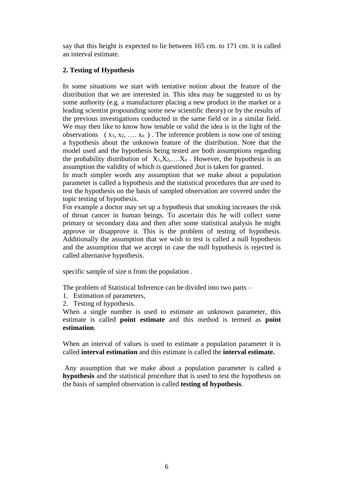say that this height is expected to lie between 165 cm. to 171 cm. it is called an interval estimate.

## **2. Testing of Hypothesis**

In some situations we start with tentative notion about the feature of the distribution that we are interested in. This idea may be suggested to us by some authority (e.g. a manufacturer placing a new product in the market or a leading scientist propounding some new scientific theory) or by the results of the previous investigations conducted in the same field or in a similar field. We may then like to know how tenable or valid the idea is in the light of the observations  $(x_1, x_2, \ldots, x_n)$ . The inference problem is now one of testing a hypothesis about the unknown feature of the distribution. Note that the model used and the hypothesis being tested are both assumptions regarding the probability distribution of  $X_1, X_2, \ldots, X_n$ . However, the hypothesis is an assumption the validity of which is questioned ,but is taken for granted.

In much simpler words any assumption that we make about a population parameter is called a hypothesis and the statistical procedures that are used to test the hypothesis on the basis of sampled observation are covered under the topic testing of hypothesis.

For example a doctor may set up a hypothesis that smoking increases the risk of throat cancer in human beings. To ascertain this he will collect some primary or secondary data and then after some statistical analysis he might approve or disapprove it. This is the problem of testing of hypothesis. Additionally the assumption that we wish to test is called a null hypothesis and the assumption that we accept in case the null hypothesis is rejected is called alternative hypothesis.

specific sample of size n from the population .

The problem of Statistical Inference can be divided into two parts –

- 1. Estimation of parameters,
- 2. Testing of hypothesis.

When a single number is used to estimate an unknown parameter, this estimate is called **point estimate** and this method is termed as **point estimation**.

When an interval of values is used to estimate a population parameter it is called **interval estimation** and this estimate is called the **interval estimate.**

Any assumption that we make about a population parameter is called a **hypothesis** and the statistical procedure that is used to test the hypothesis on the basis of sampled observation is called **testing of hypothesis**.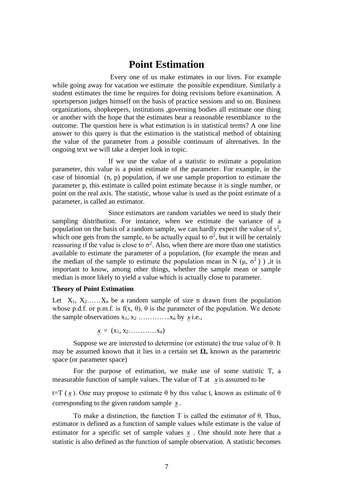## **Point Estimation**

Every one of us make estimates in our lives. For example while going away for vacation we estimate the possible expenditure. Similarly a student estimates the time he requires for doing revisions before examination. A sportsperson judges himself on the basis of practice sessions and so on. Business organizations, shopkeepers, institutions ,governing bodies all estimate one thing or another with the hope that the estimates bear a reasonable resemblance to the outcome. The question here is what estimation is in statistical terms? A one line answer to this query is that the estimation is the statistical method of obtaining the value of the parameter from a possible continuum of alternatives. In the ongoing text we will take a deeper look in topic.

 If we use the value of a statistic to estimate a population parameter, this value is a point estimate of the parameter. For example, in the case of binomial (n, p) population, if we use sample proportion to estimate the parameter p, this estimate is called point estimate because it is single number, or point on the real axis. The statistic, whose value is used as the point estimate of a parameter, is called an estimator.

 Since estimators are random variables we need to study their sampling distribution. For instance, when we estimate the variance of a population on the basis of a random sample, we can hardly expect the value of  $s^2$ , which one gets from the sample, to be actually equal to  $\sigma^2$ , but it will be certainly reassuring if the value is close to  $\sigma^2$ . Also, when there are more than one statistics available to estimate the parameter of a population, (for example the mean and the median of the sample to estimate the population mean in N ( $\mu$ ,  $\sigma^2$ )), it is important to know, among other things, whether the sample mean or sample median is more likely to yield a value which is actually close to parameter.

#### **Theory of Point Estimation**

Let  $X_1, X_2, \ldots, X_n$  be a random sample of size n drawn from the population whose p.d.f. or p.m.f. is  $f(x, \theta)$ ,  $\theta$  is the parameter of the population. We denote the sample observations  $x_1, x_2, \ldots, x_n$  by  $\dot{x}$  i.e.,

$$
\underline{x} = (x_1, x_2, \ldots, x_n)
$$

Suppose we are interested to determine (or estimate) the true value of θ. It may be assumed known that it lies in a certain set  $\Omega$ , known as the parametric space (or parameter space)

For the purpose of estimation, we make use of some statistic T, a measurable function of sample values. The value of T at  $\chi$  is assumed to be

t=T (x). One may propose to estimate  $θ$  by this value t, known as estimate of  $θ$ corresponding to the given random sample *x* .

To make a distinction, the function T is called the estimator of θ. Thus, estimator is defined as a function of sample values while estimate is the value of estimator for a specific set of sample values  $x$ . One should note here that a statistic is also defined as the function of sample observation. A statistic becomes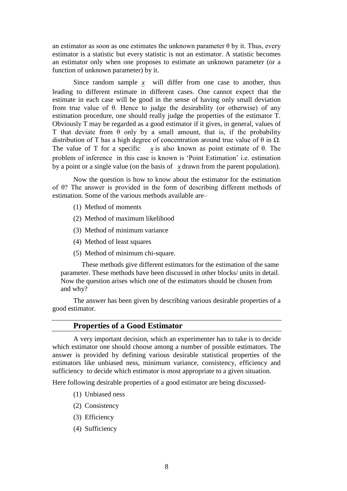an estimator as soon as one estimates the unknown parameter  $\theta$  by it. Thus, every estimator is a statistic but every statistic is not an estimator. A statistic becomes an estimator only when one proposes to estimate an unknown parameter (or a function of unknown parameter) by it.

Since random sample  $x$  will differ from one case to another, thus leading to different estimate in different cases. One cannot expect that the estimate in each case will be good in the sense of having only small deviation from true value of θ. Hence to judge the desirability (or otherwise) of any estimation procedure, one should really judge the properties of the estimator T. Obviously T may be regarded as a good estimator if it gives, in general, values of T that deviate from  $\theta$  only by a small amount, that is, if the probability distribution of T has a high degree of concentration around true value of θ in  $Ω$ . The value of T for a specific  $x$  is also known as point estimate of  $\theta$ . The problem of inference in this case is known is 'Point Estimation' i.e. estimation by a point or a single value (on the basis of *x* drawn from the parent population).

Now the question is how to know about the estimator for the estimation of θ? The answer is provided in the form of describing different methods of estimation. Some of the various methods available are–

- (1) Method of moments
- (2) Method of maximum likelihood
- (3) Method of minimum variance
- (4) Method of least squares
- (5) Method of minimum chi-square.

These methods give different estimators for the estimation of the same parameter. These methods have been discussed in other blocks/ units in detail. Now the question arises which one of the estimators should be chosen from and why?

The answer has been given by describing various desirable properties of a good estimator.

#### **Properties of a Good Estimator**

A very important decision, which an experimenter has to take is to decide which estimator one should choose among a number of possible estimators. The answer is provided by defining various desirable statistical properties of the estimators like unbiased ness, minimum variance, consistency, efficiency and sufficiency to decide which estimator is most appropriate to a given situation.

Here following desirable properties of a good estimator are being discussed-

- (1) Unbiased ness
- (2) Consistency
- (3) Efficiency
- (4) Sufficiency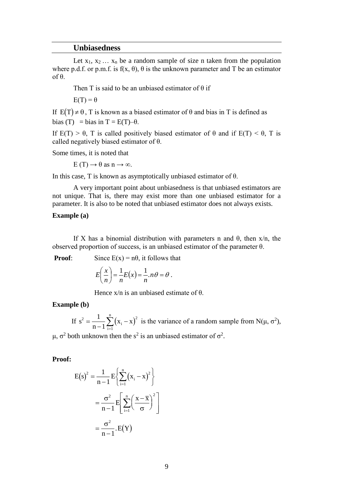#### **Unbiasedness**

Let  $x_1, x_2, \ldots, x_n$  be a random sample of size n taken from the population where p.d.f. or p.m.f. is  $f(x, \theta)$ ,  $\theta$  is the unknown parameter and T be an estimator of θ.

Then T is said to be an unbiased estimator of  $\theta$  if

 $E(T) = \theta$ 

If  $E(T) \neq \theta$ , T is known as a biased estimator of  $\theta$  and bias in T is defined as bias (T) = bias in T =  $E(T)$ – $\theta$ .

If  $E(T) > \theta$ , T is called positively biased estimator of  $\theta$  and if  $E(T) < \theta$ , T is called negatively biased estimator of θ.

Some times, it is noted that

 $E(T) \rightarrow \theta$  as  $n \rightarrow \infty$ .

In this case, T is known as asymptotically unbiased estimator of θ.

A very important point about unbiasedness is that unbiased estimators are not unique. That is, there may exist more than one unbiased estimator for a parameter. It is also to be noted that unbiased estimator does not always exists.

#### **Example (a)**

If X has a binomial distribution with parameters n and  $\theta$ , then  $x/n$ , the observed proportion of success, is an unbiased estimator of the parameter  $θ$ .

**Proof:** Since  $E(x) = n\theta$ , it follows that

$$
E\left(\frac{x}{n}\right) = \frac{1}{n}E(x) = \frac{1}{n} n\theta = \theta.
$$

Hence  $x/n$  is an unbiased estimate of  $\theta$ .

#### **Example (b)**

If  $s^2 = \frac{1}{n-1} \sum_{i=1}^{n} (x_i - x)^2$ i 2 1  $\sum_{1}^{n}$   $\binom{2}{2}$ 1 1  $=\frac{1}{n-1}$  $\sum (x_i - x)^2$  is the variance of a random sample from N( $\mu$ ,  $\sigma^2$ ),

μ, σ<sup>2</sup> both unknown then the s<sup>2</sup> is an unbiased estimator of σ<sup>2</sup>.

#### **Proof:**

$$
E(s)^{2} = \frac{1}{n-1} E\left\{ \sum_{i=1}^{n} (x_{i} - x)^{2} \right\}
$$

$$
= \frac{\sigma^{2}}{n-1} E\left[ \sum_{i=1}^{n} \left( \frac{x - \overline{x}}{\sigma} \right)^{2} \right]
$$

$$
= \frac{\sigma^{2}}{n-1} E(Y)
$$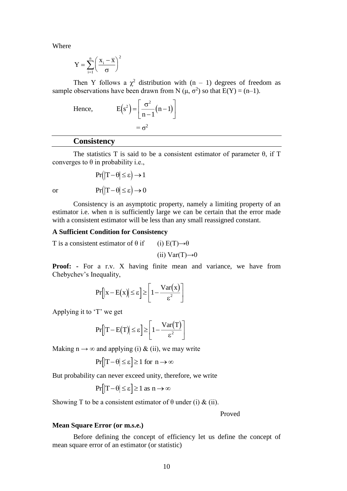Where

$$
Y = \sum_{i=1}^{n} \left(\frac{x_i - \overline{x}}{\sigma}\right)^2
$$

Then Y follows a  $\chi^2$  distribution with  $(n - 1)$  degrees of freedom as sample observations have been drawn from N ( $\mu$ ,  $\sigma^2$ ) so that E(Y) = (n–1).

Hence,

$$
E(s^2) = \left[\frac{\sigma^2}{n-1}(n-1)\right]
$$

$$
= \sigma^2
$$

## **Consistency**

The statistics T is said to be a consistent estimator of parameter  $\theta$ , if T converges to θ in probability i.e.,

$$
Pr(|T - \theta| \le \varepsilon) \to 1
$$
  

$$
Pr(|T - \theta| \le \varepsilon) \to 0
$$

or

Consistency is an asymptotic property, namely a limiting property of an estimator i.e. when n is sufficiently large we can be certain that the error made with a consistent estimator will be less than any small reassigned constant.

#### **A Sufficient Condition for Consistency**

T is a consistent estimator of  $\theta$  if (i) E(T) $\rightarrow \theta$ 

(ii)  $Var(T) \rightarrow 0$ 

**Proof:** - For a r.v. X having finite mean and variance, we have from Chebychev's Inequality,

$$
Pr[|x - E(x)| \le \varepsilon] \ge \left[1 - \frac{Var(x)}{\varepsilon^2}\right]
$$

Applying it to 'T' we get

$$
Pr[|T - E(T)| \le \varepsilon] \ge \left[1 - \frac{Var(T)}{\varepsilon^2}\right]
$$

Making  $n \rightarrow \infty$  and applying (i) & (ii), we may write

$$
\Pr[\left|T - \theta\right| \le \varepsilon] \ge 1 \text{ for } n \to \infty
$$

But probability can never exceed unity, therefore, we write

$$
\Pr[\left|T - \theta\right| \le \varepsilon] \ge 1 \text{ as } n \to \infty
$$

Showing T to be a consistent estimator of  $\theta$  under (i) & (ii).

Proved

#### **Mean Square Error (or m.s.e.)**

Before defining the concept of efficiency let us define the concept of mean square error of an estimator (or statistic)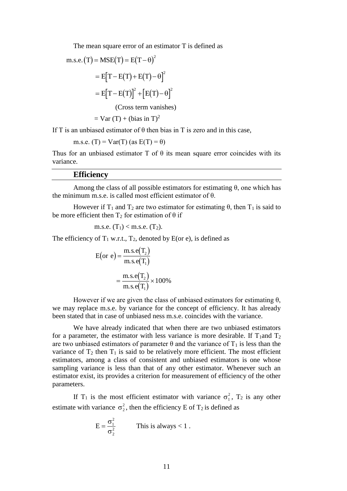The mean square error of an estimator T is defined as

$$
m.s.e. (T) = MSE(T) = E(T - \theta)^{2}
$$

$$
= E[T - E(T) + E(T) - \theta]^{2}
$$

$$
= E[T - E(T)]^{2} + [E(T) - \theta]^{2}
$$
(Cross term vanishes)

 $=$  Var (T) + (bias in T)<sup>2</sup>

If T is an unbiased estimator of  $\theta$  then bias in T is zero and in this case,

m.s.e. (T) = Var(T) (as E(T) = 
$$
\theta
$$
)

Thus for an unbiased estimator T of  $\theta$  its mean square error coincides with its variance.

#### **Efficiency**

Among the class of all possible estimators for estimating  $\theta$ , one which has the minimum m.s.e. is called most efficient estimator of θ.

However if T<sub>1</sub> and T<sub>2</sub> are two estimator for estimating  $θ$ , then T<sub>1</sub> is said to be more efficient then  $T_2$  for estimation of  $\theta$  if

m.s.e. 
$$
(T_1)
$$
 < m.s.e.  $(T_2)$ .

The efficiency of  $T_1$  w.r.t.,  $T_2$ , denoted by E(or e), is defined as

$$
E(\text{or } e) = \frac{\text{m.s.}e(T_2)}{\text{m.s.}e(T_1)}
$$

$$
= \frac{\text{m.s.}e(T_2)}{\text{m.s.}e(T_1)} \times 100\%
$$

However if we are given the class of unbiased estimators for estimating  $\theta$ , we may replace m.s.e. by variance for the concept of efficiency. It has already been stated that in case of unbiased ness m.s.e. coincides with the variance.

We have already indicated that when there are two unbiased estimators for a parameter, the estimator with less variance is more desirable. If  $T_1$ and  $T_2$ are two unbiased estimators of parameter  $\theta$  and the variance of  $T_1$  is less than the variance of  $T_2$  then  $T_1$  is said to be relatively more efficient. The most efficient estimators, among a class of consistent and unbiased estimators is one whose sampling variance is less than that of any other estimator. Whenever such an estimator exist, its provides a criterion for measurement of efficiency of the other parameters.

If T<sub>1</sub> is the most efficient estimator with variance  $\sigma_1^2$ , T<sub>2</sub> is any other estimate with variance  $\sigma_2^2$ , then the efficiency E of T<sub>2</sub> is defined as

$$
E = \frac{\sigma_1^2}{\sigma_2^2}
$$
 This is always < 1.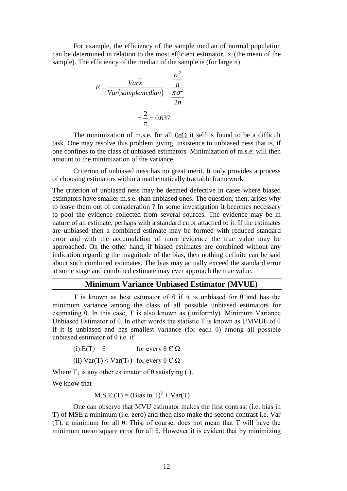For example, the efficiency of the sample median of normal population can be determined in relation to the most efficient estimator,  $\bar{x}$  (the mean of the sample). The efficiency of the median of the sample is (for large n)

$$
E = \frac{Var\bar{x}}{Var(samplementian)} = \frac{\frac{\sigma^2}{n}}{\frac{\pi\sigma^2}{2n}}
$$

$$
= \frac{2}{\pi} = 0.637
$$

The minimization of m.s.e. for all  $\theta \in \Omega$  it self is found to be a difficult task. One may resolve this problem giving insistence to unbiased ness that is, if one confines to the class of unbiased estimators. Minimization of m.s.e. will then amount to the minimization of the variance.

Criterion of unbiased ness has no great merit. It only provides a process of choosing estimators within a mathematically tractable framework.

The criterion of unbiased ness may be deemed defective in cases where biased estimators have smaller m.s.e. than unbiased ones. The question, then, arises why to leave them out of consideration ? In some investigation it becomes necessary to pool the evidence collected from several sources. The evidence may be in nature of an estimate, perhaps with a standard error attached to it. If the estimates are unbiased then a combined estimate may be formed with reduced standard error and with the accumulation of more evidence the true value may be approached. On the other hand, if biased estimates are combined without any indication regarding the magnitude of the bias, then nothing definite can be said about such combined estimates. The bias may actually exceed the standard error at some stage and combined estimate may ever approach the true value.

## **Minimum Variance Unbiased Estimator (MVUE)**

T is known as best estimator of  $\theta$  if it is unbiased for  $\theta$  and has the minimum variance among the class of all possible unbiased estimators for estimating θ. In this case, T is also known as (uniformly). Minimum Variance Unbiased Estimator of  $\theta$ . In other words the statistic T is known as UMVUE of  $\theta$ if it is unbiased and has smallest variance (for each  $\theta$ ) among all possible unbiased estimator of  $\theta$  i.e. if

(i)  $E(T) = \theta$  for every  $\theta \in \Omega$ 

(ii)  $\text{Var}(T) < \text{Var}(T_1)$  for every  $\theta \in \Omega$ 

Where  $T_1$  is any other estimator of  $\theta$  satisfying (i).

We know that

 $M.S.E.(T) = (Bias in T)<sup>2</sup> + Var(T)$ 

One can observe that MVU estimator makes the first contrast (i.e. bias in T) of MSE a minimum (i.e. zero) and then also make the second contrast i.e. Var (T), a minimum for all θ. This, of course, does not mean that T will have the minimum mean square error for all θ. However it is evident that by minimizing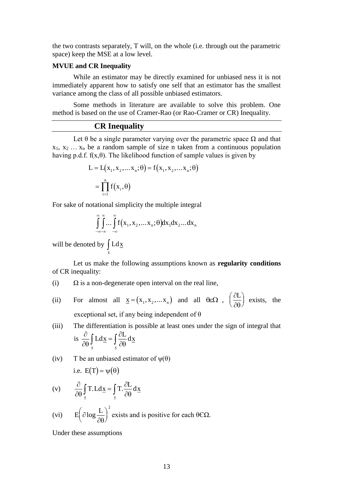the two contrasts separately, T will, on the whole (i.e. through out the parametric space) keep the MSE at a low level.

#### **MVUE and CR Inequality**

While an estimator may be directly examined for unbiased ness it is not immediately apparent how to satisfy one self that an estimator has the smallest variance among the class of all possible unbiased estimators.

Some methods in literature are available to solve this problem. One method is based on the use of Cramer-Rao (or Rao-Cramer or CR) Inequality.

## **CR Inequality**

Let  $\theta$  be a single parameter varying over the parametric space  $\Omega$  and that  $x_1, x_2, \ldots, x_n$  be a random sample of size n taken from a continuous population having p.d.f.  $f(x,\theta)$ . The likelihood function of sample values is given by

$$
L = L(x_1, x_2, \dots x_n; \theta) = f(x_1, x_2, \dots x_n; \theta)
$$

$$
= \prod_{i=1}^n f(x_i, \theta)
$$

For sake of notational simplicity the multiple integral

$$
\int_{-\infty-\infty}^{\infty}\int_{-\infty}^{\infty}f(x_1,x_2,...x_n;\theta)dx_1dx_2...dx_n
$$

will be denoted by  $\vert L \, dx$  $\int\limits_{\overline{x}}$ 

Let us make the following assumptions known as **regularity conditions** of CR inequality:

- (i)  $\Omega$  is a non-degenerate open interval on the real line,
- (ii) For almost all  $\underline{x} = (x_1, x_2,...x_n)$  and all  $\theta \in \Omega$ ,  $\left(\frac{\partial}{\partial x_1}, \frac{\partial}{\partial y_2}, \frac{\partial}{\partial z_1}, \frac{\partial}{\partial z_2}, \frac{\partial}{\partial z_2}, \frac{\partial}{\partial z_2}, \frac{\partial}{\partial z_1}, \frac{\partial}{\partial z_2}, \frac{\partial}{\partial z_2}, \frac{\partial}{\partial z_2}, \frac{\partial}{\partial z_1}, \frac{\partial}{\partial z_2}, \frac{\partial}{\partial z_2}, \frac{\partial}{\partial z_1}, \frac{\partial}{$  $\partial\theta$  $\int \partial L$  $\left(\frac{\partial L}{\partial \theta}\right)$  exists, the I exceptional set, if any being independent of θ
- (iii) The differentiation is possible at least ones under the sign of integral that is  $\frac{\partial}{\partial x}$  $\partial\theta$ д  $\partial\theta$ Ldx =  $\int \frac{\partial L}{\partial x} dx$  $\int_{\mathbf{x}} L \, \mathrm{d} \mathbf{x} = \int_{\mathbf{x}}$

(iv) T be an unbiased estimator of  $\psi(\theta)$ 

$$
i.e. \ E(T)=\psi\big(\theta\big)
$$

(v) 
$$
\frac{\partial}{\partial \theta} \int_{\underline{x}} T \cdot L d\underline{x} = \int_{\underline{x}} T \cdot \frac{\partial L}{\partial \theta} d\underline{x}
$$

(vi) 
$$
E\left(\partial \log \frac{L}{\partial \theta}\right)^2
$$
 exists and is positive for each  $\theta \in \Omega$ .

Under these assumptions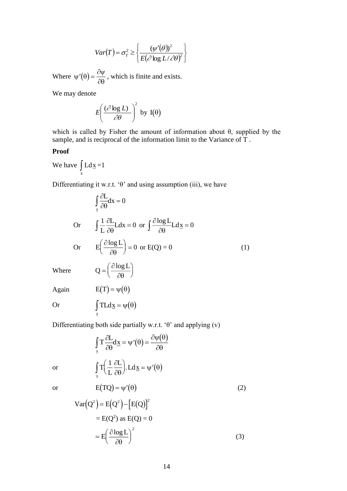$$
Var(T) = \sigma_T^2 \ge \left\{ \frac{(\psi'(\theta))^2}{E(\partial \log L/\partial \theta)^2} \right\}
$$

Where  $\psi'(\theta) = \frac{\partial \psi}{\partial \theta}$  $\frac{\partial \phi}{\partial \theta}$ , which is finite and exists.

We may denote

$$
E\left(\frac{(\partial \log L)}{\partial \theta}\right)^2
$$
 by  $I(\theta)$ 

which is called by Fisher the amount of information about  $\theta$ , supplied by the sample, and is reciprocal of the information limit to the Variance of T .

## **Proof**

We have  $\vert \text{Ld} \underline{x} \vert$  $\int_{\overline{x}} L d\underline{x} = 1$ 

Differentiating it w.r.t. ' $\theta$ ' and using assumption (iii), we have

Var(T) = σ<sub>T</sub><sup>2</sup> ≥ {
$$
\frac{\langle \psi \ (U)\rangle}{E(\partial \log L/\partial \theta)^2}
$$
}  
\nWhere ψ'(0) =  $\frac{\partial \psi}{\partial \theta}$ , which is finite and exists.  
\nWe may denote  
\n
$$
E\left(\frac{(\partial \log L)}{\partial \theta}\right)^2
$$
 by I(θ)  
\nwhich is called by Fisher the amount of information about θ, supply  
\nsample, and is reciprocal of the information limit to the Variance of T.  
\nProof  
\nWe have  $\int_x L d\underline{x} = 1$   
\nDifferentiating it w.r.t. '0' and using assumption (iii), we have  
\n $\int_x \frac{\partial L}{\partial \theta} dx = 0$   
\nOr  $\int \frac{1}{L} \frac{\partial L}{\partial \theta} dx = 0$  or  $\int \frac{\partial \log L}{\partial \theta} L d\underline{x} = 0$   
\nOr  $E\left(\frac{\partial \log L}{\partial \theta}\right) = 0$  or E(Q) = 0 (1)  
\nWhere  $Q = \left(\frac{\partial \log L}{\partial \theta}\right)$   
\nAgain  $E(T) = \psi(\theta)$   
\nOr  $\int_T T L d\underline{x} = \psi(\theta)$   
\nDifferentiating both side partially w.r.t. '0' and applying (v)  
\n $\int_T \frac{\partial L}{\partial \theta} d\underline{x} = \psi'(\theta) = \frac{\partial \psi(\theta)}{\partial \theta}$   
\nor  $\int_x T \left(\frac{1}{L} \frac{\partial L}{\partial \theta}\right) L d\underline{x} = \psi'(\theta)$   
\n $\int_x C(\theta) = \psi'(\theta)$   
\n $\text{Var}(Q^2) = E(Q^2) - [E(Q)]^2$   
\n $= E(Q^2)$  as E(Q) = 0  
\n $= E\left(\frac{\partial \log L}{\partial \theta}\right)^2$  (3)

Differentiating both side partially w.r.t. 'θ' and applying (v)

$$
\int_{\underline{x}} T \frac{\partial L}{\partial \theta} d\underline{x} = \psi'(\theta) = \frac{\partial \psi(\theta)}{\partial \theta}
$$

$$
\int_{\underline{x}} T \left( \frac{1}{L} \frac{\partial L}{\partial \theta} \right) L d\underline{x} = \psi'(\theta)
$$

$$
E(TQ) = \psi'(\theta)
$$
(2)

or

or

$$
Var(Q2) = E(Q2) - [E(Q)]2
$$
  
= E(Q<sup>2</sup>) as E(Q) = 0  
= E( $\frac{\partial log L}{\partial \theta}$ )<sup>2</sup> (3)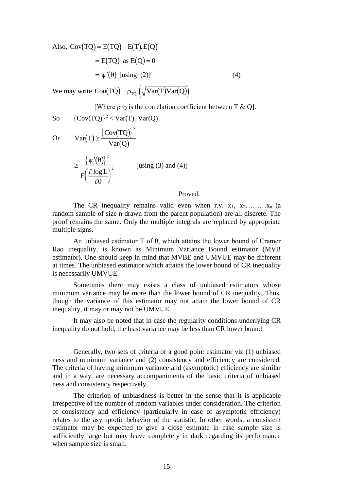Also, 
$$
Cov(TQ) = E(TQ) - E(T) \cdot E(Q)
$$
  
\n
$$
= E(TQ) \text{ as } E(Q) = 0
$$
\n
$$
= \psi'(\theta) \text{ [using (2)]}
$$
\n(4)

We may write  $Con(TQ) = \rho_{TQ} \cdot (\sqrt{Var(T)Var(Q)})$ 

[Where  $\rho_{TO}$  is the correlation coefficient between T & Q].

So 
$$
{\text{Cov(TQ)}}^2 < \text{Var(T)}
$$
.  $\text{Var(Q)}$ 

Or 
$$
Var(T) \ge \frac{\{Cov(TQ)\}^2}{Var(Q)}
$$

$$
\geq \frac{\left\{\psi'(\theta)\right\}^2}{E\left(\frac{\partial \log L}{\partial \theta}\right)^2}
$$
 [using (3) and (4)]

#### Proved.

The CR inequality remains valid even when r.v.  $x_1, x_2, \ldots, x_n$  (a random sample of size n drawn from the parent population) are all discrete. The proof remains the same. Only the multiple integrals are replaced by appropriate multiple signs.

An unbiased estimator T of θ, which attains the lower bound of Cramer Rao inequality, is known as Minimum Variance Bound estimator (MVB estimator). One should keep in mind that MVBE and UMVUE may be different at times. The unbiased estimator which attains the lower bound of CR inequality is necessarily UMVUE.

Sometimes there may exists a class of unbiased estimators whose minimum variance may be more than the lower bound of CR inequality. Thus, though the variance of this estimator may not attain the lower bound of CR inequality, it may or may not be UMVUE.

It may also be noted that in case the regularity conditions underlying CR inequality do not hold, the least variance may be less than CR lower bound.

Generally, two sets of criteria of a good point estimator viz (1) unbiased ness and minimum variance and (2) consistency and efficiency are considered. The criteria of having minimum variance and (asymptotic) efficiency are similar and in a way, are necessary accompaniments of the basic criteria of unbiased ness and consistency respectively.

The criterion of unbiasdness is better in the sense that it is applicable irrespective of the number of random variables under consideration. The criterion of consistency and efficiency (particularly in case of asymptotic efficiency) relates to the asymptotic behavior of the statistic. In other words, a consistent estimator may be expected to give a close estimate in case sample size is sufficiently large but may leave completely in dark regarding its performance when sample size is small.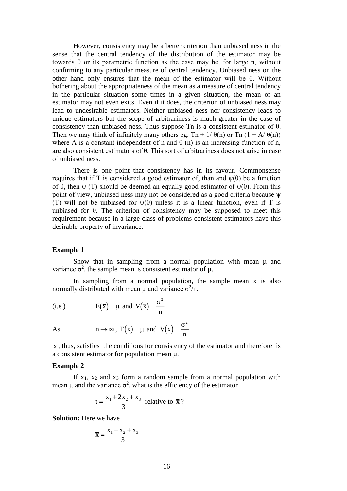However, consistency may be a better criterion than unbiased ness in the sense that the central tendency of the distribution of the estimator may be towards θ or its parametric function as the case may be, for large n, without confirming to any particular measure of central tendency. Unbiased ness on the other hand only ensures that the mean of the estimator will be  $\theta$ . Without bothering about the appropriateness of the mean as a measure of central tendency in the particular situation some times in a given situation, the mean of an estimator may not even exits. Even if it does, the criterion of unbiased ness may lead to undesirable estimators. Neither unbiased ness nor consistency leads to unique estimators but the scope of arbitrariness is much greater in the case of consistency than unbiased ness. Thus suppose Tn is a consistent estimator of θ. Then we may think of infinitely many others eg. Tn +  $1/\theta(n)$  or Tn  $(1 + A/\theta(n))$ where A is a constant independent of n and  $\theta$  (n) is an increasing function of n, are also consistent estimators of θ. This sort of arbitrariness does not arise in case of unbiased ness.

There is one point that consistency has in its favour. Commonsense requires that if T is considered a good estimator of, than and  $\psi(\theta)$  be a function of  $\theta$ , then  $\psi$  (T) should be deemed an equally good estimator of  $\psi(\theta)$ . From this point of view, unbiased ness may not be considered as a good criteria because ψ (T) will not be unbiased for  $\psi(\theta)$  unless it is a linear function, even if T is unbiased for  $\theta$ . The criterion of consistency may be supposed to meet this requirement because in a large class of problems consistent estimators have this desirable property of invariance.

#### **Example 1**

Show that in sampling from a normal population with mean  $\mu$  and variance  $\sigma^2$ , the sample mean is consistent estimator of  $\mu$ .

In sampling from a normal population, the sample mean  $\bar{x}$  is also normally distributed with mean  $\mu$  and variance  $\sigma^2/n$ .

(i.e.) 
$$
E(\bar{x}) = \mu
$$
 and  $V(\bar{x}) = \frac{\sigma^2}{n}$ 

As 
$$
n \to \infty
$$
,  $E(\overline{x}) = \mu$  and  $V(\overline{x}) = \frac{\sigma^2}{n}$ 

 $\bar{x}$ , thus, satisfies the conditions for consistency of the estimator and therefore is a consistent estimator for population mean µ.

#### **Example 2**

If  $x_1$ ,  $x_2$  and  $x_3$  form a random sample from a normal population with mean  $\mu$  and the variance  $\sigma^2$ , what is the efficiency of the estimator

$$
t = \frac{x_1 + 2x_2 + x_3}{3}
$$
 relative to  $\bar{x}$ ?

**Solution:** Here we have

$$
\overline{\mathbf{x}} = \frac{\mathbf{x}_1 + \mathbf{x}_2 + \mathbf{x}_3}{3}
$$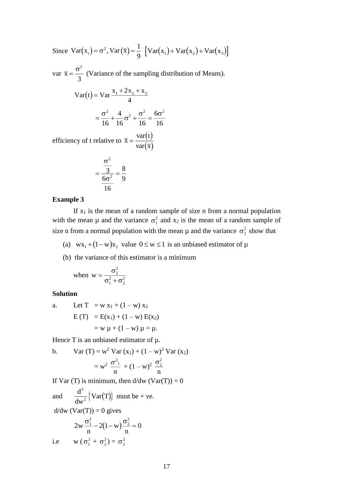Since  $Var(x_i) = \sigma^2$ ,  $Var(\bar{x}) = \frac{1}{\sigma^2}$  $y = \frac{1}{9} \left[ \text{Var}(x_1) + \text{Var}(x_2) + \text{Var}(x_3) \right]$ 

 $var \overline{x} =$  $\sigma^2$  $\frac{1}{3}$  (Variance of the sampling distribution of Means).

$$
Var(t) = Var \frac{x_1 + 2x_2 + x_3}{4}
$$

$$
= \frac{\sigma^2}{16} + \frac{4}{16}\sigma^2 + \frac{\sigma^2}{16} = \frac{6\sigma^2}{16}
$$

efficiency of t relative to  $\bar{x} = \frac{\text{var}(t)}{t}$  $x = \frac{1}{\text{var}(\overline{x})}$ t x 干 var var

$$
=\frac{\frac{\sigma^2}{3}}{\frac{6\sigma^2}{16}}=\frac{8}{9}
$$

#### **Example 3**

If  $x_1$  is the mean of a random sample of size n from a normal population with the mean  $\mu$  and the variance  $\sigma_1^2$  and  $x_2$  is the mean of a random sample of size n from a normal population with the mean  $\mu$  and the variance  $\sigma_2^2$  show that

- (a)  $wx_1 + (1 w)x_2$  value  $0 \le w \le 1$  is an unbiased estimator of  $\mu$
- (b) the variance of this estimator is a minimum

when 
$$
w = {\frac{\sigma_2^2}{\sigma_1^2 + \sigma_2^2}}
$$

#### **Solution**

a. Let T = w x<sub>1</sub> + (1 - w) x<sub>2</sub>  
\nE(T) = E(x<sub>1</sub>) + (1 - w) E(x<sub>2</sub>)  
\n= w 
$$
\mu
$$
 + (1 - w)  $\mu$  =  $\mu$ .

Hence  $T$  is an unbiased estimator of  $\mu$ .

b. Var (T) = w<sup>2</sup> Var (x<sub>1</sub>) + (1 - w)<sup>2</sup> Var (x<sub>2</sub>)  
= w<sup>2</sup> 
$$
\frac{\sigma^2_1}{n}
$$
 + (1 - w)<sup>2</sup>  $\frac{\sigma^2_2}{n}$ 

If Var (T) is minimum, then  $d/dw$  (Var(T)) = 0

and  $\frac{d^2}{dx^2} \{Var(T)\}\$ dw Varl T 2  $\frac{1}{2}$   $\text{Var}(T)$  must be + ve.  $d/dw$  (Var(T)) = 0 gives

$$
2w \frac{\sigma_1^2}{n} - 2(1-w) \frac{\sigma_2^2}{n} = 0
$$

i.e  $w (\sigma_1^2 + \sigma_2^2) = \sigma_2^2$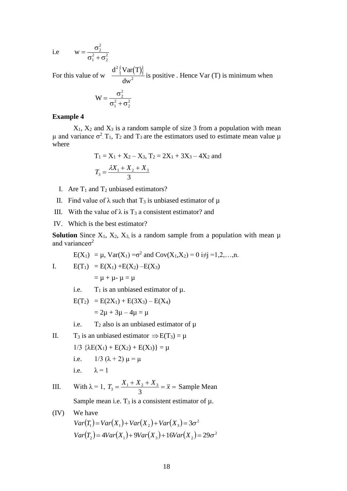i.e  $w =$  $^+$ σ σ⊺ + σ 2 2 1 2 2 2

For this value of w  $\frac{d^2 \{ \text{Var}(T) \}}{2}$ dw 2  $\frac{N(-1)}{2}$  is positive . Hence Var (T) is minimum when

$$
W = \frac{\sigma_2^2}{\sigma_1^2 + \sigma_2^2}
$$

#### **Example 4**

 $X_1$ ,  $X_2$  and  $X_3$  is a random sample of size 3 from a population with mean μ and variance  $\sigma^2$ . T<sub>1</sub>, T<sub>2</sub> and T<sub>3</sub> are the estimators used to estimate mean value μ where

$$
T_1 = X_1 + X_2 - X_3, T_2 = 2X_1 + 3X_3 - 4X_2 \text{ and}
$$
  

$$
T_3 = \frac{\lambda X_1 + X_2 + X_3}{3}
$$

- I. Are  $T_1$  and  $T_2$  unbiased estimators?
- II. Find value of  $\lambda$  such that T<sub>3</sub> is unbiased estimator of  $\mu$
- III. With the value of  $\lambda$  is T<sub>3</sub> a consistent estimator? and
- IV. Which is the best estimator?

**Solution** Since  $X_1$ ,  $X_2$ ,  $X_3$ , is a random sample from a population with mean  $\mu$ and variance $\sigma^2$ 

$$
E(X_1) = \mu
$$
,  $Var(X_1) = \sigma^2$  and  $Cov(X_1, X_2) = 0$  i $\neq j = 1, 2, ..., n$ .

I. 
$$
E(T_1) = E(X_1) + E(X_2) - E(X_3)
$$
  
=  $\mu + \mu - \mu = \mu$ 

i.e.  $T_1$  is an unbiased estimator of  $\mu$ .

$$
E(T_2) = E(2X_1) + E(3X_3) - E(X_4)
$$
  
= 2\mu + 3\mu - 4\mu = \mu

- i.e.  $T_2$  also is an unbiased estimator of  $\mu$
- II.  $T_3$  is an unbiased estimator  $\Rightarrow E(T_3) = \mu$  $1/3 \{\lambda E(X_1) + E(X_2) + E(X_3)\} = \mu$ i.e.  $1/3 (\lambda + 2) \mu = \mu$ i.e.  $\lambda = 1$
- III. With  $\lambda = 1$ ,  $T_3 = \frac{X_1 + X_2 + X_3}{2} = \overline{x} =$ 3  $\overline{x}_3 = \frac{X_1 + X_2 + X_3}{2} = \overline{x} =$  Sample Mean

Sample mean i.e.  $T_3$  is a consistent estimator of  $\mu$ .

(IV) We have  $Var(T_1) = Var(X_1) + Var(X_2) + Var(X_3) = 3\sigma^2$  $Var(T_2) = 4Var(X_1) + 9Var(X_3) + 16Var(X_2) = 29\sigma^2$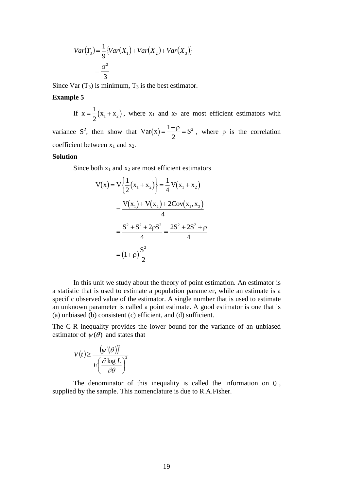$$
Var(T_3) = \frac{1}{9} \{ Var(X_1) + Var(X_2) + Var(X_3) \}
$$

$$
= \frac{\sigma^2}{3}
$$

Since Var  $(T_3)$  is minimum,  $T_3$  is the best estimator.

#### **Example 5**

If  $x = \frac{1}{2}(x_1 + x_2)$  $\frac{1}{2}(x_1 + x_2)$ , where  $x_1$  and  $x_2$  are most efficient estimators with variance S<sup>2</sup>, then show that  $Var(x) = \frac{1+\rho}{2} = S$ 1 2  $\frac{\rho}{\rho} = S^2$ , where  $\rho$  is the correlation coefficient between  $x_1$  and  $x_2$ .

#### **Solution**

Since both  $x_1$  and  $x_2$  are most efficient estimators

$$
(T_3) = \frac{1}{9} \{Var(X_1) + Var(X_2) + Var(X_3)\}
$$
  
\n
$$
= \frac{\sigma^2}{3}
$$
  
\n
$$
T_3
$$
 is minimum, T<sub>3</sub> is the best estimator.  
\n
$$
= \frac{1}{2} (x_1 + x_2), \text{ where } x_1 \text{ and } x_2 \text{ are most}
$$
  
\n
$$
= \frac{1}{2} (x_1 + x_2), \text{ where } x_1 \text{ and } x_2 \text{ are most}
$$
  
\n
$$
= \frac{1 + \rho}{2} = S^2, \text{ when}
$$
  
\n
$$
Var(x) = \frac{1 + \rho}{2} = S^2, \text{ when}
$$
  
\n
$$
Var(x) = \frac{1 + \rho}{2} = \frac{1}{4} \text{Var}(x_1 + x_2)
$$
  
\n
$$
= \frac{\text{Var}(x_1) + \text{Var}(x_2) + 2\text{Cov}(x_1, x_2)}{4}
$$
  
\n
$$
= \frac{S^2 + S^2 + 2\rho S^2}{4} = \frac{2S^2 + 2S^2 + \rho}{4}
$$
  
\n
$$
= (1 + \rho)\frac{S^2}{2}
$$
  
\n
$$
= \frac{1}{\rho} \text{Var}(X_1) + \frac{1}{\rho} \text{Var}(X_2) + \frac{1}{\rho} \text{Var}(X_1) + \frac{1}{\rho} \text{Var}(X_1) + \frac{1}{\rho} \text{Var}(X_2) + \frac{1}{\rho} \text{Var}(X_1) + \frac{1}{\rho} \text{Var}(X_1) + \frac{1}{\rho} \text{Var}(X_1) + \frac{1}{\rho} \text{Var}(X_1) + \frac{1}{\rho} \text{Var}(X_1) + \frac{1}{\rho} \text{Var}(X_1) + \frac{1}{\rho} \text{Var}(X_1) + \frac{1}{\rho} \text{Var}(X_1) + \frac{1}{\rho} \text{Var}(X_1) + \frac{1}{\rho} \text{Var}(X_1) + \frac{1}{\rho} \text{Var}(X_1) + \frac{1}{\rho} \text{Var}(X_1) + \frac{1}{\rho} \text{Var
$$

In this unit we study about the theory of point estimation. An estimator is a statistic that is used to estimate a population parameter, while an estimate is a specific observed value of the estimator. A single number that is used to estimate an unknown parameter is called a point estimate. A good estimator is one that is (a) unbiased (b) consistent (c) efficient, and (d) sufficient.

The C-R inequality provides the lower bound for the variance of an unbiased estimator of  $\psi(\theta)$  and states that

$$
V(t) \ge \frac{\left(\psi'(\theta)\right)^2}{E\left(\frac{\partial \log L}{\partial \theta}\right)^2}
$$

The denominator of this inequality is called the information on  $\theta$ , supplied by the sample. This nomenclature is due to R.A.Fisher.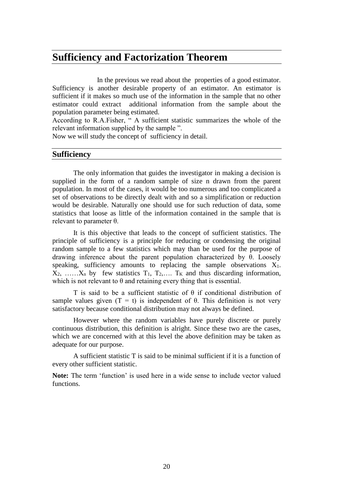## **Sufficiency and Factorization Theorem**

 In the previous we read about the properties of a good estimator. Sufficiency is another desirable property of an estimator. An estimator is sufficient if it makes so much use of the information in the sample that no other estimator could extract additional information from the sample about the population parameter being estimated.

According to R.A.Fisher, " A sufficient statistic summarizes the whole of the relevant information supplied by the sample ".

Now we will study the concept of sufficiency in detail.

## **Sufficiency**

The only information that guides the investigator in making a decision is supplied in the form of a random sample of size n drawn from the parent population. In most of the cases, it would be too numerous and too complicated a set of observations to be directly dealt with and so a simplification or reduction would be desirable. Naturally one should use for such reduction of data, some statistics that loose as little of the information contained in the sample that is relevant to parameter θ.

It is this objective that leads to the concept of sufficient statistics. The principle of sufficiency is a principle for reducing or condensing the original random sample to a few statistics which may than be used for the purpose of drawing inference about the parent population characterized by  $\theta$ . Loosely speaking, sufficiency amounts to replacing the sample observations  $X_1$ .  $X_2, \ldots, X_n$  by few statistics  $T_1, T_2, \ldots, T_K$  and thus discarding information, which is not relevant to  $\theta$  and retaining every thing that is essential.

T is said to be a sufficient statistic of  $\theta$  if conditional distribution of sample values given  $(T = t)$  is independent of  $\theta$ . This definition is not very satisfactory because conditional distribution may not always be defined.

However where the random variables have purely discrete or purely continuous distribution, this definition is alright. Since these two are the cases, which we are concerned with at this level the above definition may be taken as adequate for our purpose.

A sufficient statistic T is said to be minimal sufficient if it is a function of every other sufficient statistic.

**Note:** The term 'function' is used here in a wide sense to include vector valued functions.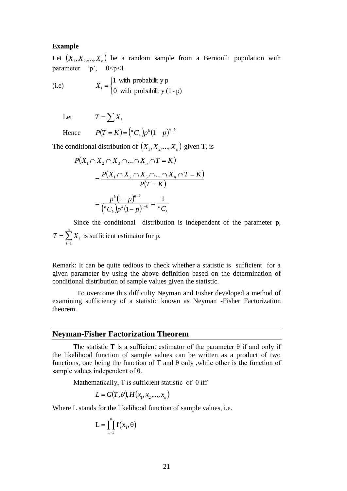#### **Example**

Let  $(X_1, X_2, ..., X_n)$  be a random sample from a Bernoulli population with parameter 'p',  $0 \le p \le 1$ 

(i.e) l ∤  $=\begin{cases} 1 & \text{with probability } p \\ 0 & \text{with probability } (1-p) \end{cases}$ 1 with probabilit y p *Xi*

 Let  $T = \sum X_i$ 

Hence 
$$
P(T = K) = {^{n}C_{k}} p^{k} (1-p)^{n-k}
$$

The conditional distribution of  $(X_1, X_2, ..., X_n)$  given T, is

$$
P(X_1 \cap X_2 \cap X_3 \cap \dots \cap X_n \cap T = K)
$$
  
= 
$$
\frac{P(X_1 \cap X_2 \cap X_3 \cap \dots \cap X_n \cap T = K)}{P(T = K)}
$$
  
= 
$$
\frac{p^{k}(1-p)^{n-k}}{\binom{n}{k}p^{k}(1-p)^{n-k}} = \frac{1}{nC_k}
$$

Since the conditional distribution is independent of the parameter p,  $=\sum$  $T = \sum_{i=1}^{n} X_i$ *i* 1 is sufficient estimator for p.

Remark: It can be quite tedious to check whether a statistic is sufficient for a given parameter by using the above definition based on the determination of conditional distribution of sample values given the statistic.

 To overcome this difficulty Neyman and Fisher developed a method of examining sufficiency of a statistic known as Neyman -Fisher Factorization theorem.

#### **Neyman-Fisher Factorization Theorem**

The statistic T is a sufficient estimator of the parameter  $\theta$  if and only if the likelihood function of sample values can be written as a product of two functions, one being the function of T and  $\theta$  only, while other is the function of sample values independent of θ.

Mathematically, T is sufficient statistic of  $\theta$  iff

$$
L = G(T, \theta), H(x_1, x_2, \dots, x_n)
$$

Where L stands for the likelihood function of sample values, i.e.

$$
L = \prod_{i=1}^{n} f(x_i, \theta)
$$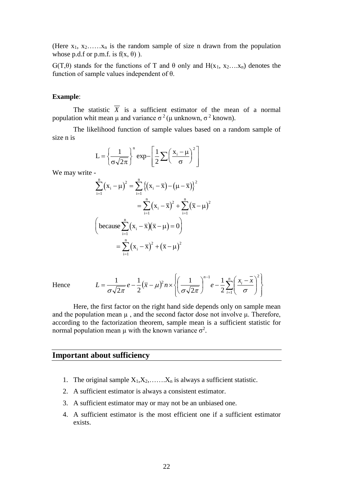(Here  $x_1, x_2, \ldots, x_n$  is the random sample of size n drawn from the population whose p.d.f or p.m.f. is  $f(x, \theta)$ ).

 $G(T,\theta)$  stands for the functions of T and  $\theta$  only and  $H(x_1, x_2,...x_n)$  denotes the function of sample values independent of θ.

#### **Example**:

The statistic  $X$  is a sufficient estimator of the mean of a normal population whit mean μ and variance  $\sigma^2$  (μ unknown,  $\sigma^2$  known).

The likelihood function of sample values based on a random sample of size n is

$$
L = \left\{ \frac{1}{\sigma \sqrt{2\pi}} \right\}^{n} \exp \left[ \frac{1}{2} \sum \left( \frac{x_i - \mu}{\sigma} \right)^2 \right]
$$

We may write -

$$
\sum_{i=1}^{n} (x_i - \mu)^2 = \sum_{i=1}^{n} \{(x_i - \overline{x}) - (\mu - \overline{x})\}^2
$$
  
= 
$$
\sum_{i=1}^{n} (x_i - \overline{x})^2 + \sum_{i=1}^{n} (\overline{x} - \mu)^2
$$
  
(because 
$$
\sum_{i=1}^{n} (x_i - \overline{x})(\overline{x} - \mu) = 0
$$
)  
= 
$$
\sum_{i=1}^{n} (x_i - \overline{x})^2 + (\overline{x} - \mu)^2
$$

Hence

$$
L = \frac{1}{\sigma\sqrt{2\pi}}e - \frac{1}{2}(\overline{x} - \mu)^2 n \times \left\{ \left( \frac{1}{\sigma\sqrt{2\pi}} \right)^{n-1} e - \frac{1}{2}\sum_{i=1}^n \left( \frac{x_i - \overline{x}}{\sigma} \right)^2 \right\}
$$

Here, the first factor on the right hand side depends only on sample mean and the population mean  $\mu$ , and the second factor dose not involve  $\mu$ . Therefore, according to the factorization theorem, sample mean is a sufficient statistic for normal population mean  $\mu$  with the known variance  $\sigma^2$ .

### **Important about sufficiency**

- 1. The original sample  $X_1, X_2, \ldots, X_n$  is always a sufficient statistic.
- 2. A sufficient estimator is always a consistent estimator.
- 3. A sufficient estimator may or may not be an unbiased one.
- 4. A sufficient estimator is the most efficient one if a sufficient estimator exists.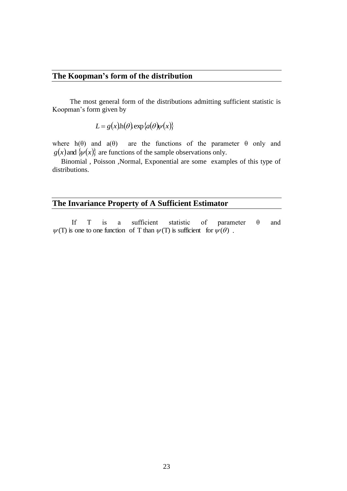## **The Koopman's form of the distribution**

 The most general form of the distributions admitting sufficient statistic is Koopman's form given by

 $L = g(x)h(\theta) \exp{\{a(\theta)\psi(x)\}}$ 

where  $h(\theta)$  and  $a(\theta)$  are the functions of the parameter  $\theta$  only and  $g(x)$  and  $\{\psi(x)\}$  are functions of the sample observations only.

 Binomial , Poisson ,Normal, Exponential are some examples of this type of distributions.

## **The Invariance Property of A Sufficient Estimator**

If T is a sufficient statistic of parameter  $\theta$  and  $\psi(T)$  is one to one function of T than  $\psi(T)$  is sufficient for  $\psi(\theta)$ .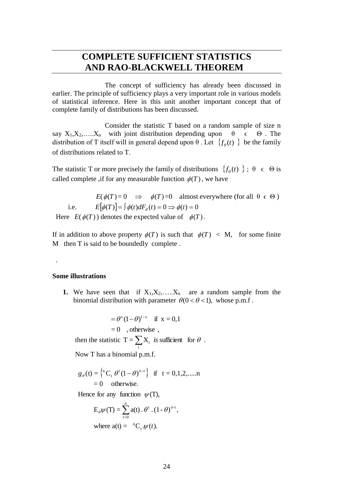## **COMPLETE SUFFICIENT STATISTICS AND RAO-BLACKWELL THEOREM**

 The concept of sufficiency has already been discussed in earlier. The principle of sufficiency plays a very important role in various models of statistical inference. Here in this unit another important concept that of complete family of distributions has been discussed.

 Consider the statistic T based on a random sample of size n say  $X_1, X_2, \ldots, X_n$  with joint distribution depending upon  $\theta \in \Theta$ . The distribution of T itself will in general depend upon  $\theta$ . Let  $\{f_{\theta}(t)\}\)$  be the family of distributions related to T.

The statistic T or more precisely the family of distributions  $\{f_{\theta}(t)\}\; ; \; \theta \in \Theta$  is called complete , if for any measurable function  $\phi(T)$ , we have

 $E(\phi(T) = 0 \implies \phi(T) = 0$  almost everywhere (for all  $\theta \in \Theta$ ) i.e.  $E[\phi(T)] = \int \phi(t) dF_{\theta}(t) = 0 \Rightarrow \phi(t) = 0$ 

Here  $E(\phi(T))$  denotes the expected value of  $\phi(T)$ .

If in addition to above property  $\phi(T)$  is such that  $\phi(T) < M$ , for some finite M then T is said to be boundedly complete .

#### **Some illustrations**

.

**1.** We have seen that if  $X_1, X_2, \ldots, X_n$  are a random sample from the binomial distribution with parameter  $\theta(0 < \theta < 1)$ , whose p.m.f.

$$
= \theta^x (1 - \theta)^{1-x} \quad \text{if } x = 0, 1
$$
  
= 0 , otherwise ,  
then the statistic  $T = \sum_i X_i$  is sufficient for  $\theta$ .  
Now T has a binomial p.m.f.

$$
g_{\theta}(t) = \begin{cases}^{n}C_{t} \theta^{t} (1-\theta)^{n-t} \end{cases}
$$
 if  $t = 0,1,2,......n$   
= 0 otherwise.

Hence for any function  $\psi(T)$ ,

$$
E_{\theta}\psi(T) = \sum_{t=0}^{n} a(t) \cdot \theta^{t} \cdot (1 - \theta)^{n-t},
$$
  
where  $a(t) = {^{n}C_{t} \cdot \psi(t)}$ .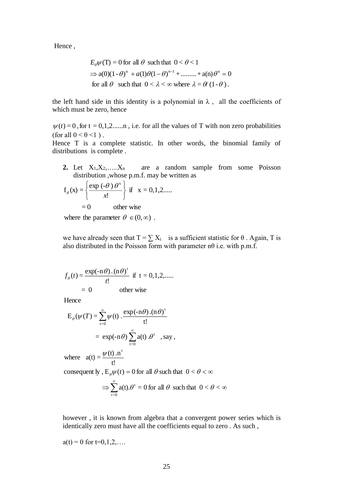Hence ,

$$
E_{\theta}\psi(T) = 0 \text{ for all } \theta \text{ such that } 0 < \theta < 1
$$
  
\n
$$
\Rightarrow a(0)(1-\theta)^n + a(1)\theta(1-\theta)^{n-1} + \dots + a(n)\theta^n = 0
$$
  
\nfor all  $\theta$  such that  $0 < \lambda < \infty$  where  $\lambda = \theta/(1-\theta)$ .

the left hand side in this identity is a polynomial in  $\lambda$ , all the coefficients of which must be zero, hence

 $\psi(t) = 0$ , for t = 0,1,2......n, i.e. for all the values of T with non zero probabilities (for all  $0 < \theta < 1$ ).

Hence T is a complete statistic. In other words, the binomial family of distributions is complete .

2. Let  $X_1, X_2, \ldots, X_n$  are a random sample from some Poisson distribution ,whose p.m.f. may be written as

$$
f_{\theta}(x) = \left\{ \frac{\exp(-\theta) \theta^{x}}{x!} \right\} \text{ if } x = 0, 1, 2 \dots
$$

$$
= 0 \qquad \text{other wise}
$$

where the parameter  $\theta \in (0, \infty)$ .

we have already seen that  $T = \sum X_i$  is a sufficient statistic for  $\theta$ . Again, T is also distributed in the Poisson form with parameter  $n\theta$  i.e. with p.m.f.

$$
f_{\theta}(t) = \frac{\exp(-n\theta) \cdot (n\theta)^{t}}{t!} \text{ if } t = 0, 1, 2, \dots
$$
  
= 0 \tother wise

Hence

$$
E_{\theta}(\psi(T)) = \sum_{t=0}^{\infty} \psi(t) \cdot \frac{\exp(-n\theta) \cdot (n\theta)^{t}}{t!}
$$
  
=  $\exp(-n\theta) \sum_{t=0}^{\infty} a(t) \cdot \theta^{t}$ , say,

 $\Rightarrow \sum^{\infty}$  a(t).  $\theta^1 = 0$  for all  $\theta$  such that  $0 < \theta < \infty$ consequent ly ,  $E_{\theta}\psi(t) = 0$  for all  $\theta$  such that  $0 < \theta < \infty$ where  $a(t) = \frac{\psi(t) \cdot n^t}{t!}$  $t=0$  $\theta^t = 0$  for all  $\theta$  such that  $0 < \theta$ 

however , it is known from algebra that a convergent power series which is identically zero must have all the coefficients equal to zero . As such ,

$$
a(t) = 0
$$
 for  $t=0,1,2,...$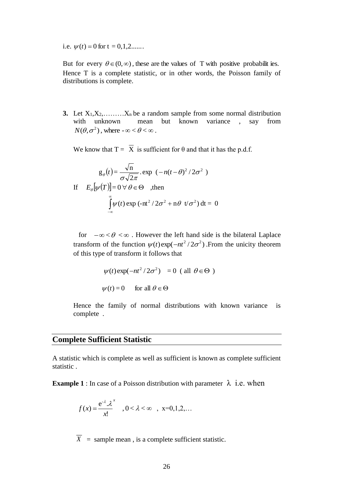i.e.  $\psi(t) = 0$  for  $t = 0, 1, 2, \dots$ 

But for every  $\theta \in (0,\infty)$ , these are the values of T with positive probabilities. Hence T is a complete statistic, or in other words, the Poisson family of distributions is complete.

**3.** Let  $X_1, X_2, \ldots, X_n$  be a random sample from some normal distribution with unknown mean but known variance , say from  $N(\theta, \sigma^2)$ , where  $-\infty < \theta < \infty$ .

We know that  $T = X$  is sufficient for  $\theta$  and that it has the p.d.f.

$$
g_{\theta}(t) = \frac{\sqrt{n}}{\sigma\sqrt{2\pi}} \cdot \exp\left(-n(t-\theta)^2/2\sigma^2\right)
$$
  
If  $E_{\theta}[\psi(T)] = 0 \,\forall \,\theta \in \Theta$ , then  

$$
\int_{-\infty}^{\infty} \psi(t) \exp\left(-nt^2/2\sigma^2 + n\theta \, t/\sigma^2\right) dt = 0
$$

for  $-\infty < \theta < \infty$ . However the left hand side is the bilateral Laplace transform of the function  $\psi(t) \exp(-nt^2/2\sigma^2)$ . From the unicity theorem of this type of transform it follows that

$$
\psi(t) \exp(-nt^2/2\sigma^2) = 0 \text{ (all } \theta \in \Theta)
$$
  

$$
\psi(t) = 0 \quad \text{for all } \theta \in \Theta
$$

Hence the family of normal distributions with known variance is complete .

#### **Complete Sufficient Statistic**

A statistic which is complete as well as sufficient is known as complete sufficient statistic .

**Example 1** : In case of a Poisson distribution with parameter  $\lambda$  i.e. when

$$
f(x) = \frac{e^{-\lambda} \cdot \lambda^{x}}{x!}, \quad 0 < \lambda < \infty \quad , \quad x = 0, 1, 2, \dots
$$

 $\overline{X}$  = sample mean, is a complete sufficient statistic.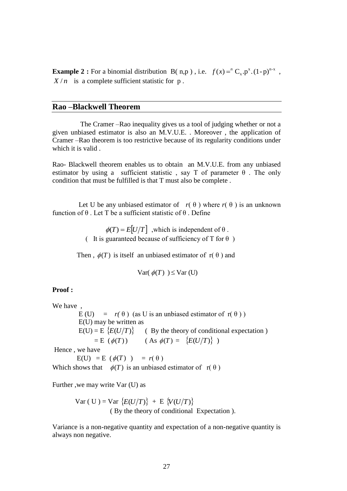**Example 2 :** For a binomial distribution B(n,p), i.e.  $f(x) = {}^nC_x p^x (1-p)^{n-x}$  $f(x) = C_x \cdot p^x \cdot (1-p)^{n-x}$ ,  $X/n$  is a complete sufficient statistic for p.

## **Rao –Blackwell Theorem**

 The Cramer –Rao inequality gives us a tool of judging whether or not a given unbiased estimator is also an M.V.U.E. . Moreover , the application of Cramer –Rao theorem is too restrictive because of its regularity conditions under which it is valid .

Rao- Blackwell theorem enables us to obtain an M.V.U.E. from any unbiased estimator by using a sufficient statistic, say T of parameter  $\theta$ . The only condition that must be fulfilled is that T must also be complete .

Let U be any unbiased estimator of  $r(\theta)$  where  $r(\theta)$  is an unknown function of θ . Let T be a sufficient statistic of θ . Define

> $\phi(T) = E[U/T]$ , which is independent of  $\theta$ . ( It is guaranteed because of sufficiency of T for  $\theta$ )

Then,  $\phi(T)$  is itself an unbiased estimator of  $r(\theta)$  and

$$
\text{Var}(\phi(T)) \leq \text{Var}(\mathbf{U})
$$

#### **Proof :**

We have , E (U)  $= r(\theta)$  (as U is an unbiased estimator of r( $\theta$ )) E(U) may be written as  $E(U) = E \{E(U/T)\}$  (By the theory of conditional expectation)  $= E (\phi(T))$  (As  $\phi(T) = {E(U/T)}$ ) Hence , we have

 $E(U) = E(\phi(T)) = r(\theta)$ 

Which shows that  $\phi(T)$  is an unbiased estimator of  $r(\theta)$ 

Further ,we may write Var (U) as

$$
Var(U) = Var \{E(U/T)\} + E \{V(U/T)\}
$$
  
(By the theory of conditional Expectation).

Variance is a non-negative quantity and expectation of a non-negative quantity is always non negative.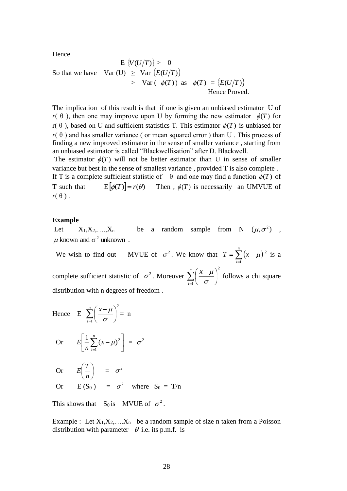Hence

$$
E\left\{V(U/T)\right\} \geq 0
$$
  
So that we have  $Var(U) \geq Var\left\{E(U/T)\right\}$   
 $\geq Var(\phi(T))$  as  $\phi(T) = \left\{E(U/T)\right\}$   
Hence Proved.

The implication of this result is that if one is given an unbiased estimator U of  $r(\theta)$ , then one may improve upon U by forming the new estimator  $\phi(T)$  for r( $\theta$ ), based on U and sufficient statistics T. This estimator  $\phi(T)$  is unbiased for  $r(\theta)$  and has smaller variance (or mean squared error) than U. This process of finding a new improved estimator in the sense of smaller variance , starting from an unbiased estimator is called "Blackwellisation" after D. Blackwell.

The estimator  $\phi(T)$  will not be better estimator than U in sense of smaller variance but best in the sense of smallest variance , provided T is also complete . If T is a complete sufficient statistic of  $\theta$  and one may find a function  $\phi(T)$  of T such that  $E[\phi(T)] = r(\theta)$  $\phi(T)$  is necessarily an UMVUE of

# **Example**

 $r(\theta)$ .

Let  $X_1, X_2, \ldots, X_n$  be a random sample from N  $(\mu, \sigma^2)$ ,  $\mu$  known and  $\sigma^2$  unknown.

We wish to find out  $\sigma^2$ . We know that  $T = \sum (x - \mu)^2$  $=\sum_{i=1}(x$ *i*  $T = \sum (x - \mu)^2$  is a complete sufficient statistic of  $\sigma^2$ . Moreover 2  $\sum_{i=1}^{\infty} \left( \frac{x-\mu}{\sigma} \right)$  $\overline{\phantom{a}}$  $\left(\frac{x-\mu}{\mu}\right)$ l  $\frac{n}{\sqrt{x}}$   $(x$ *i x*  $\sigma$  $\frac{\mu}{\epsilon}$  follows a chi square distribution with n degrees of freedom .

Hence E 
$$
\sum_{i=1}^{n} \left( \frac{x - \mu}{\sigma} \right)^2 = n
$$

$$
\text{Or} \qquad E\left[\frac{1}{n}\sum_{i=1}^{n}(x-\mu)^2\right] = \sigma^2
$$

 Or I J  $\left(\frac{T}{-}\right)$ l ſ *n*  $E(\frac{T}{\tau}) = \sigma^2$ Or  $E(S_0) = \sigma^2$  where  $S_0 = T/n$ 

This shows that  $S_0$  is MVUE of  $\sigma^2$ .

Example : Let  $X_1, X_2, \ldots, X_n$  be a random sample of size n taken from a Poisson distribution with parameter  $\theta$  i.e. its p.m.f. is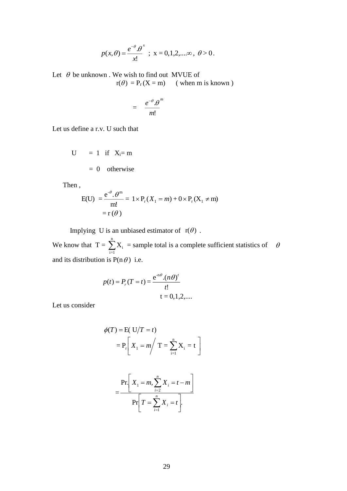$$
p(x,\theta) = \frac{e^{-\theta} \cdot \theta}{x!}
$$
; x = 0,1,2,... $\infty$ ,  $\theta > 0$ .

Let  $\theta$  be unknown. We wish to find out MVUE of  $r(\theta) = P_r(X = m)$  (when m is known)

$$
= \frac{e^{-\theta} \cdot \theta^m}{m!}
$$

Let us define a r.v. U such that

$$
U = 1 \text{ if } X_i = m
$$

$$
= 0 \text{ otherwise}
$$

Then ,

$$
E(U) = \frac{e^{-\theta} \cdot \theta^{m}}{m!} = 1 \times P_{r}(X_{1} = m) + 0 \times P_{r}(X_{1} \neq m)
$$

$$
= r(\theta)
$$

Implying U is an unbiased estimator of  $r(\theta)$ . We know that  $T = \sum_{n=1}^{n}$ i=1  $X_i$  = sample total is a complete sufficient statistics of  $\theta$ and its distribution is  $P(n \theta)$  i.e.

$$
p(t) = P_r(T = t) = \frac{e^{-n\theta} \cdot (n\theta)^t}{t!}
$$
  
t = 0,1,2,...

Let us consider

$$
\phi(T) = \text{E}(U/T = t)
$$

$$
= P_r \left[ X_1 = m / T = \sum_{i=1}^{n} X_i = t \right]
$$

$$
= \frac{\Pr\left[X_1 = m, \sum_{i=2}^n X_i = t - m\right]}{\Pr\left[T = \sum_{i=1}^n X_i = t\right]}
$$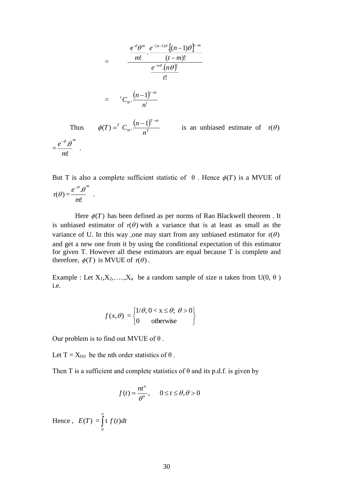$$
= \frac{\frac{e^{-\theta}\theta^m}{m!} \cdot \frac{e^{-(n-1)\theta} \cdot [(n-1)\theta]^{t-m}}{(t-m)!}}{\frac{e^{-n\theta} \cdot (n\theta)^t}{t!}}
$$
  

$$
= {}^{t}C_m \cdot \frac{(n-1)^{t-m}}{n^t}
$$
  
Thus  $\phi(T) = {}^{T}C_m \cdot \frac{(n-1)^{T-m}}{n^T}$  is an unbiased estimate of  $r(\theta)$   
 $= \frac{e^{-\theta} \cdot \theta^m}{\theta}$ .

But T is also a complete sufficient statistic of  $\theta$ . Hence  $\phi(T)$  is a MVUE of  $r(\theta) = \frac{\epsilon}{m!}$  $\bm{\theta}^{^m}$ *m*  $e^{-\theta}.\theta$ .

Here  $\phi(T)$  has been defined as per norms of Rao Blackwell theorem. It is unbiased estimator of  $r(\theta)$  with a variance that is at least as small as the variance of U. In this way ,one may start from any unbiased estimator for  $r(\theta)$ and get a new one from it by using the conditional expectation of this estimator for given T. However all these estimators are equal because T is complete and therefore,  $\phi(T)$  is MVUE of  $r(\theta)$ .

Example : Let  $X_1, X_2, \ldots, X_n$  be a random sample of size n taken from  $U(0, \theta)$ i.e.

$$
f(x, \theta) = \begin{cases} 1/\theta, 0 < x \le \theta; \ \theta > 0 \\ 0 \qquad \text{otherwise} \end{cases}
$$

Our problem is to find out MVUE of  $\theta$ .

Let  $T = X_{(n)}$  be the nth order statistics of  $\theta$ .

Then T is a sufficient and complete statistics of  $\theta$  and its p.d.f. is given by

$$
f(t) = \frac{nt^n}{\theta^n}, \qquad 0 \le t \le \theta, \theta > 0
$$

Hence,  $E(T) = |t f(t) dt$  $\int\limits_0^\infty$ 

Thus

.

 $\overline{\theta}^{\,m}$ 

 $=\frac{c}{m!}$ 

*m*  $e^{-\theta}$ . $\theta$